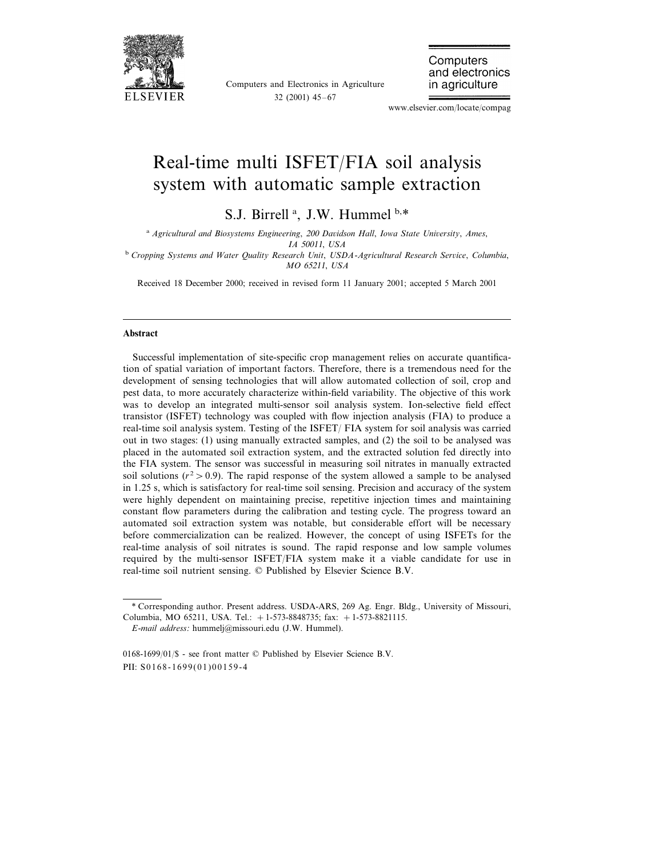

Computers and Electronics in Agriculture 32 (2001) 45–67

Computers and electronics in agriculture

www.elsevier.com/locate/compag

# Real-time multi ISFET/FIA soil analysis system with automatic sample extraction

S.J. Birrell<sup>a</sup>, J.W. Hummel<sup>b,\*</sup>

<sup>a</sup> *Agricultural and Biosystems Engineering*, <sup>200</sup> *Daidson Hall*, *Iowa State Uniersity*, *Ames*, *IA* 50011, *USA*

<sup>b</sup> *Cropping Systems and Water Quality Research Unit*, *USDA*-*Agricultural Research Serice*, *Columbia*, *MO* 65211, *USA*

Received 18 December 2000; received in revised form 11 January 2001; accepted 5 March 2001

#### **Abstract**

Successful implementation of site-specific crop management relies on accurate quantification of spatial variation of important factors. Therefore, there is a tremendous need for the development of sensing technologies that will allow automated collection of soil, crop and pest data, to more accurately characterize within-field variability. The objective of this work was to develop an integrated multi-sensor soil analysis system. Ion-selective field effect transistor (ISFET) technology was coupled with flow injection analysis (FIA) to produce a real-time soil analysis system. Testing of the ISFET/ FIA system for soil analysis was carried out in two stages: (1) using manually extracted samples, and (2) the soil to be analysed was placed in the automated soil extraction system, and the extracted solution fed directly into the FIA system. The sensor was successful in measuring soil nitrates in manually extracted soil solutions  $(r^2 > 0.9)$ . The rapid response of the system allowed a sample to be analysed in 1.25 s, which is satisfactory for real-time soil sensing. Precision and accuracy of the system were highly dependent on maintaining precise, repetitive injection times and maintaining constant flow parameters during the calibration and testing cycle. The progress toward an automated soil extraction system was notable, but considerable effort will be necessary before commercialization can be realized. However, the concept of using ISFETs for the real-time analysis of soil nitrates is sound. The rapid response and low sample volumes required by the multi-sensor ISFET/FIA system make it a viable candidate for use in real-time soil nutrient sensing. © Published by Elsevier Science B.V.

0168-1699/01/\$ - see front matter © Published by Elsevier Science B.V. PII: S0168-1699(01)00159-4

<sup>\*</sup> Corresponding author. Present address. USDA-ARS, 269 Ag. Engr. Bldg., University of Missouri, Columbia, MO 65211, USA. Tel.: +1-573-8848735; fax: +1-573-8821115.

*E*-*mail address*: hummelj@missouri.edu (J.W. Hummel).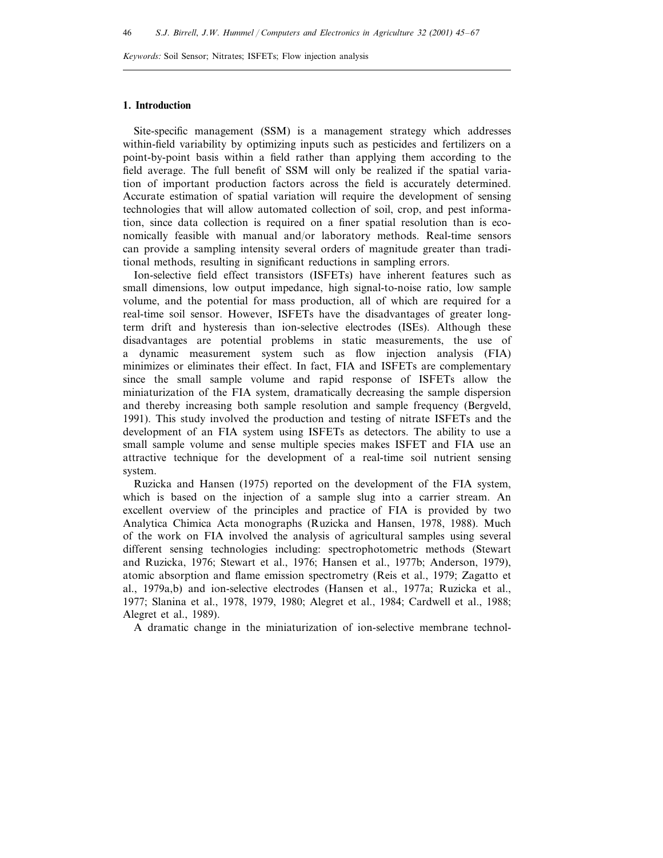*Keywords*: Soil Sensor; Nitrates; ISFETs; Flow injection analysis

## **1. Introduction**

Site-specific management (SSM) is a management strategy which addresses within-field variability by optimizing inputs such as pesticides and fertilizers on a point-by-point basis within a field rather than applying them according to the field average. The full benefit of SSM will only be realized if the spatial variation of important production factors across the field is accurately determined. Accurate estimation of spatial variation will require the development of sensing technologies that will allow automated collection of soil, crop, and pest information, since data collection is required on a finer spatial resolution than is economically feasible with manual and/or laboratory methods. Real-time sensors can provide a sampling intensity several orders of magnitude greater than traditional methods, resulting in significant reductions in sampling errors.

Ion-selective field effect transistors (ISFETs) have inherent features such as small dimensions, low output impedance, high signal-to-noise ratio, low sample volume, and the potential for mass production, all of which are required for a real-time soil sensor. However, ISFETs have the disadvantages of greater longterm drift and hysteresis than ion-selective electrodes (ISEs). Although these disadvantages are potential problems in static measurements, the use of a dynamic measurement system such as flow injection analysis (FIA) minimizes or eliminates their effect. In fact, FIA and ISFETs are complementary since the small sample volume and rapid response of ISFETs allow the miniaturization of the FIA system, dramatically decreasing the sample dispersion and thereby increasing both sample resolution and sample frequency (Bergveld, 1991). This study involved the production and testing of nitrate ISFETs and the development of an FIA system using ISFETs as detectors. The ability to use a small sample volume and sense multiple species makes ISFET and FIA use an attractive technique for the development of a real-time soil nutrient sensing system.

Ruzicka and Hansen (1975) reported on the development of the FIA system, which is based on the injection of a sample slug into a carrier stream. An excellent overview of the principles and practice of FIA is provided by two Analytica Chimica Acta monographs (Ruzicka and Hansen, 1978, 1988). Much of the work on FIA involved the analysis of agricultural samples using several different sensing technologies including: spectrophotometric methods (Stewart and Ruzicka, 1976; Stewart et al., 1976; Hansen et al., 1977b; Anderson, 1979), atomic absorption and flame emission spectrometry (Reis et al., 1979; Zagatto et al., 1979a,b) and ion-selective electrodes (Hansen et al., 1977a; Ruzicka et al., 1977; Slanina et al., 1978, 1979, 1980; Alegret et al., 1984; Cardwell et al., 1988; Alegret et al., 1989).

A dramatic change in the miniaturization of ion-selective membrane technol-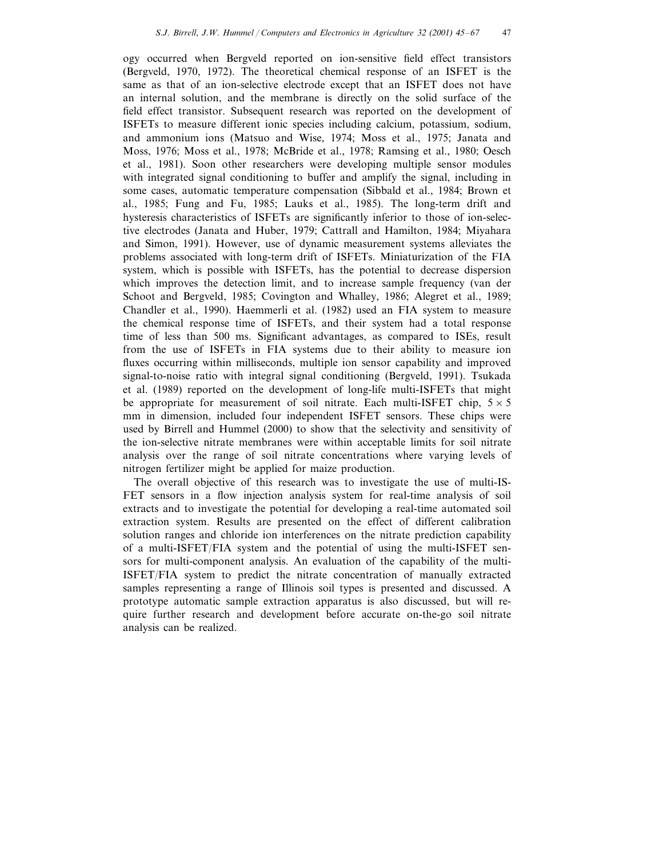ogy occurred when Bergveld reported on ion-sensitive field effect transistors (Bergveld, 1970, 1972). The theoretical chemical response of an ISFET is the same as that of an ion-selective electrode except that an ISFET does not have an internal solution, and the membrane is directly on the solid surface of the field effect transistor. Subsequent research was reported on the development of ISFETs to measure different ionic species including calcium, potassium, sodium, and ammonium ions (Matsuo and Wise, 1974; Moss et al., 1975; Janata and Moss, 1976; Moss et al., 1978; McBride et al., 1978; Ramsing et al., 1980; Oesch et al., 1981). Soon other researchers were developing multiple sensor modules with integrated signal conditioning to buffer and amplify the signal, including in some cases, automatic temperature compensation (Sibbald et al., 1984; Brown et al., 1985; Fung and Fu, 1985; Lauks et al., 1985). The long-term drift and hysteresis characteristics of ISFETs are significantly inferior to those of ion-selective electrodes (Janata and Huber, 1979; Cattrall and Hamilton, 1984; Miyahara and Simon, 1991). However, use of dynamic measurement systems alleviates the problems associated with long-term drift of ISFETs. Miniaturization of the FIA system, which is possible with ISFETs, has the potential to decrease dispersion which improves the detection limit, and to increase sample frequency (van der Schoot and Bergveld, 1985; Covington and Whalley, 1986; Alegret et al., 1989; Chandler et al., 1990). Haemmerli et al. (1982) used an FIA system to measure the chemical response time of ISFETs, and their system had a total response time of less than 500 ms. Significant advantages, as compared to ISEs, result from the use of ISFETs in FIA systems due to their ability to measure ion fluxes occurring within milliseconds, multiple ion sensor capability and improved signal-to-noise ratio with integral signal conditioning (Bergveld, 1991). Tsukada et al. (1989) reported on the development of long-life multi-ISFETs that might be appropriate for measurement of soil nitrate. Each multi-ISFET chip,  $5 \times 5$ mm in dimension, included four independent ISFET sensors. These chips were used by Birrell and Hummel (2000) to show that the selectivity and sensitivity of the ion-selective nitrate membranes were within acceptable limits for soil nitrate analysis over the range of soil nitrate concentrations where varying levels of nitrogen fertilizer might be applied for maize production.

The overall objective of this research was to investigate the use of multi-IS-FET sensors in a flow injection analysis system for real-time analysis of soil extracts and to investigate the potential for developing a real-time automated soil extraction system. Results are presented on the effect of different calibration solution ranges and chloride ion interferences on the nitrate prediction capability of a multi-ISFET/FIA system and the potential of using the multi-ISFET sensors for multi-component analysis. An evaluation of the capability of the multi-ISFET/FIA system to predict the nitrate concentration of manually extracted samples representing a range of Illinois soil types is presented and discussed. A prototype automatic sample extraction apparatus is also discussed, but will require further research and development before accurate on-the-go soil nitrate analysis can be realized.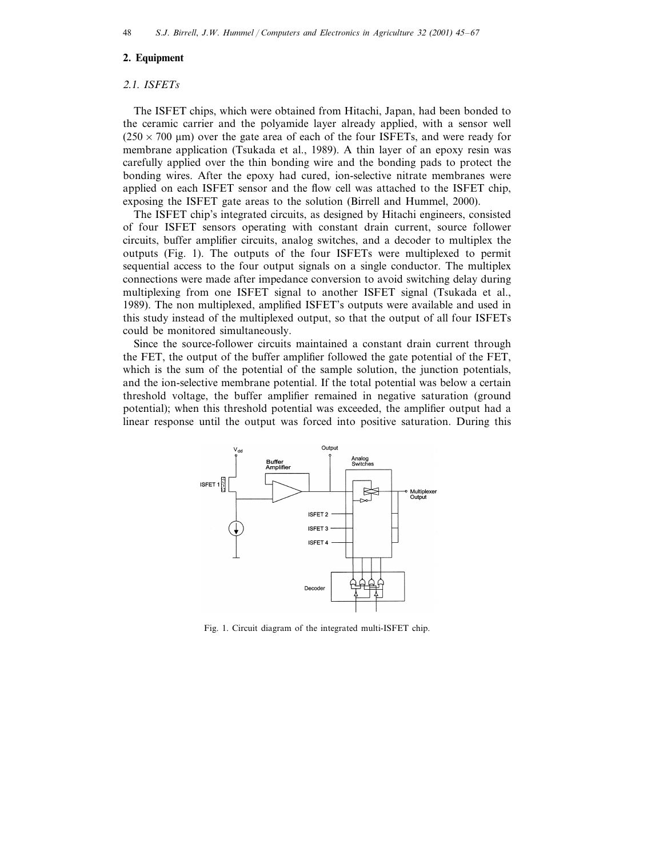## **2. Equipment**

#### <sup>2</sup>.1. *ISFETs*

The ISFET chips, which were obtained from Hitachi, Japan, had been bonded to the ceramic carrier and the polyamide layer already applied, with a sensor well  $(250 \times 700 \mu m)$  over the gate area of each of the four ISFETs, and were ready for membrane application (Tsukada et al., 1989). A thin layer of an epoxy resin was carefully applied over the thin bonding wire and the bonding pads to protect the bonding wires. After the epoxy had cured, ion-selective nitrate membranes were applied on each ISFET sensor and the flow cell was attached to the ISFET chip, exposing the ISFET gate areas to the solution (Birrell and Hummel, 2000).

The ISFET chip's integrated circuits, as designed by Hitachi engineers, consisted of four ISFET sensors operating with constant drain current, source follower circuits, buffer amplifier circuits, analog switches, and a decoder to multiplex the outputs (Fig. 1). The outputs of the four ISFETs were multiplexed to permit sequential access to the four output signals on a single conductor. The multiplex connections were made after impedance conversion to avoid switching delay during multiplexing from one ISFET signal to another ISFET signal (Tsukada et al., 1989). The non multiplexed, amplified ISFET's outputs were available and used in this study instead of the multiplexed output, so that the output of all four ISFETs could be monitored simultaneously.

Since the source-follower circuits maintained a constant drain current through the FET, the output of the buffer amplifier followed the gate potential of the FET, which is the sum of the potential of the sample solution, the junction potentials, and the ion-selective membrane potential. If the total potential was below a certain threshold voltage, the buffer amplifier remained in negative saturation (ground potential); when this threshold potential was exceeded, the amplifier output had a linear response until the output was forced into positive saturation. During this



Fig. 1. Circuit diagram of the integrated multi-ISFET chip.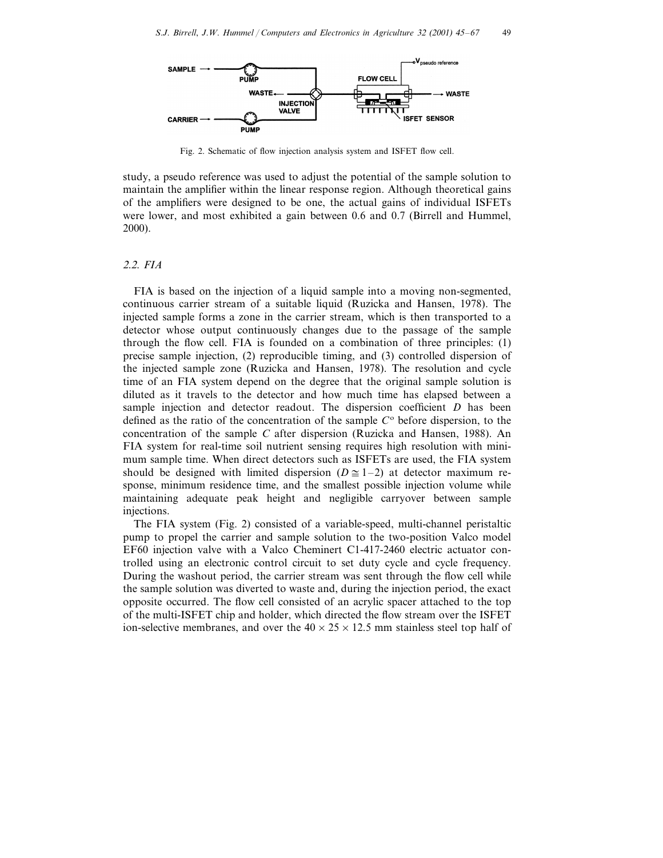

Fig. 2. Schematic of flow injection analysis system and ISFET flow cell.

study, a pseudo reference was used to adjust the potential of the sample solution to maintain the amplifier within the linear response region. Although theoretical gains of the amplifiers were designed to be one, the actual gains of individual ISFETs were lower, and most exhibited a gain between 0.6 and 0.7 (Birrell and Hummel, 2000).

#### <sup>2</sup>.2. *FIA*

FIA is based on the injection of a liquid sample into a moving non-segmented, continuous carrier stream of a suitable liquid (Ruzicka and Hansen, 1978). The injected sample forms a zone in the carrier stream, which is then transported to a detector whose output continuously changes due to the passage of the sample through the flow cell. FIA is founded on a combination of three principles: (1) precise sample injection, (2) reproducible timing, and (3) controlled dispersion of the injected sample zone (Ruzicka and Hansen, 1978). The resolution and cycle time of an FIA system depend on the degree that the original sample solution is diluted as it travels to the detector and how much time has elapsed between a sample injection and detector readout. The dispersion coefficient *D* has been defined as the ratio of the concentration of the sample *C*<sup>o</sup> before dispersion, to the concentration of the sample *C* after dispersion (Ruzicka and Hansen, 1988). An FIA system for real-time soil nutrient sensing requires high resolution with minimum sample time. When direct detectors such as ISFETs are used, the FIA system should be designed with limited dispersion ( $D \approx 1-2$ ) at detector maximum response, minimum residence time, and the smallest possible injection volume while maintaining adequate peak height and negligible carryover between sample injections.

The FIA system (Fig. 2) consisted of a variable-speed, multi-channel peristaltic pump to propel the carrier and sample solution to the two-position Valco model EF60 injection valve with a Valco Cheminert C1-417-2460 electric actuator controlled using an electronic control circuit to set duty cycle and cycle frequency. During the washout period, the carrier stream was sent through the flow cell while the sample solution was diverted to waste and, during the injection period, the exact opposite occurred. The flow cell consisted of an acrylic spacer attached to the top of the multi-ISFET chip and holder, which directed the flow stream over the ISFET ion-selective membranes, and over the  $40 \times 25 \times 12.5$  mm stainless steel top half of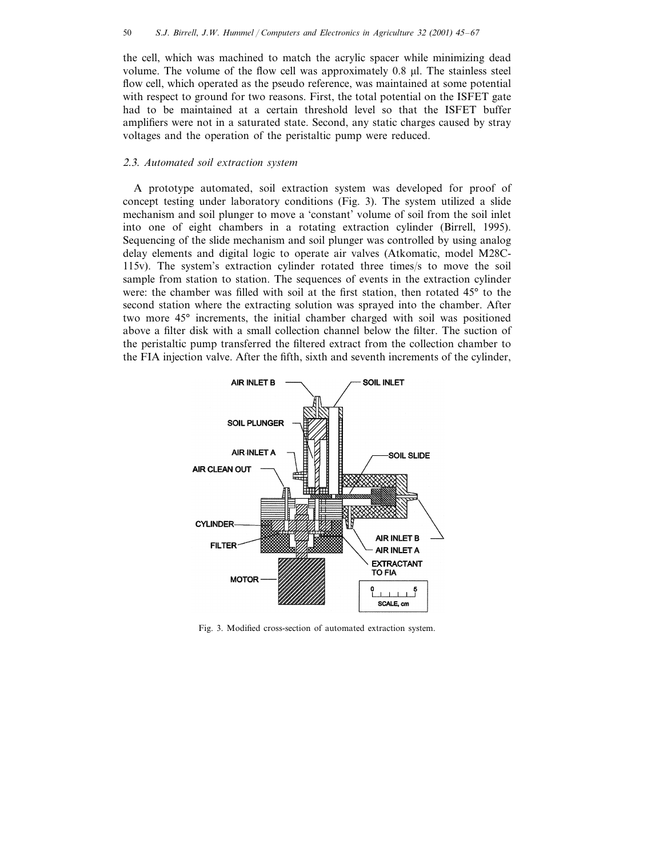the cell, which was machined to match the acrylic spacer while minimizing dead volume. The volume of the flow cell was approximately 0.8 µ. The stainless steel flow cell, which operated as the pseudo reference, was maintained at some potential with respect to ground for two reasons. First, the total potential on the ISFET gate had to be maintained at a certain threshold level so that the ISFET buffer amplifiers were not in a saturated state. Second, any static charges caused by stray voltages and the operation of the peristaltic pump were reduced.

## <sup>2</sup>.3. *Automated soil extraction system*

A prototype automated, soil extraction system was developed for proof of concept testing under laboratory conditions (Fig. 3). The system utilized a slide mechanism and soil plunger to move a 'constant' volume of soil from the soil inlet into one of eight chambers in a rotating extraction cylinder (Birrell, 1995). Sequencing of the slide mechanism and soil plunger was controlled by using analog delay elements and digital logic to operate air valves (Atkomatic, model M28C-115v). The system's extraction cylinder rotated three times/s to move the soil sample from station to station. The sequences of events in the extraction cylinder were: the chamber was filled with soil at the first station, then rotated 45° to the second station where the extracting solution was sprayed into the chamber. After two more 45° increments, the initial chamber charged with soil was positioned above a filter disk with a small collection channel below the filter. The suction of the peristaltic pump transferred the filtered extract from the collection chamber to the FIA injection valve. After the fifth, sixth and seventh increments of the cylinder,



Fig. 3. Modified cross-section of automated extraction system.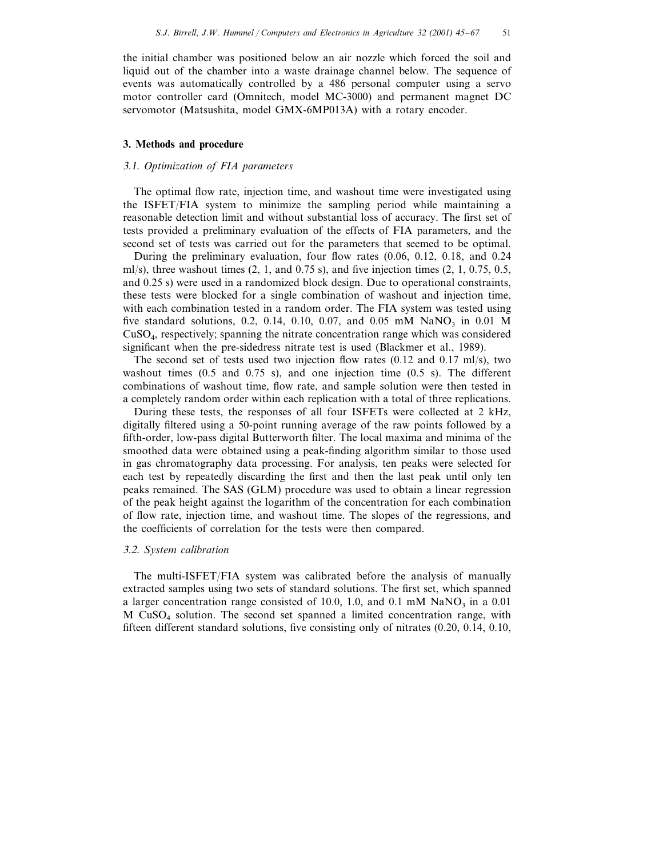the initial chamber was positioned below an air nozzle which forced the soil and liquid out of the chamber into a waste drainage channel below. The sequence of events was automatically controlled by a 486 personal computer using a servo motor controller card (Omnitech, model MC-3000) and permanent magnet DC servomotor (Matsushita, model GMX-6MP013A) with a rotary encoder.

## **3. Methods and procedure**

# 3.1. *Optimization of FIA parameters*

The optimal flow rate, injection time, and washout time were investigated using the ISFET/FIA system to minimize the sampling period while maintaining a reasonable detection limit and without substantial loss of accuracy. The first set of tests provided a preliminary evaluation of the effects of FIA parameters, and the second set of tests was carried out for the parameters that seemed to be optimal.

During the preliminary evaluation, four flow rates (0.06, 0.12, 0.18, and 0.24 ml/s), three washout times  $(2, 1, \text{ and } 0.75 \text{ s})$ , and five injection times  $(2, 1, 0.75, 0.5,$ and 0.25 s) were used in a randomized block design. Due to operational constraints, these tests were blocked for a single combination of washout and injection time, with each combination tested in a random order. The FIA system was tested using five standard solutions, 0.2, 0.14, 0.10, 0.07, and 0.05 mM  $\text{NaNO}_3$  in 0.01 M CuSO4, respectively; spanning the nitrate concentration range which was considered significant when the pre-sidedress nitrate test is used (Blackmer et al., 1989).

The second set of tests used two injection flow rates  $(0.12 \text{ and } 0.17 \text{ m/s})$ , two washout times (0.5 and 0.75 s), and one injection time (0.5 s). The different combinations of washout time, flow rate, and sample solution were then tested in a completely random order within each replication with a total of three replications.

During these tests, the responses of all four ISFETs were collected at 2 kHz, digitally filtered using a 50-point running average of the raw points followed by a fifth-order, low-pass digital Butterworth filter. The local maxima and minima of the smoothed data were obtained using a peak-finding algorithm similar to those used in gas chromatography data processing. For analysis, ten peaks were selected for each test by repeatedly discarding the first and then the last peak until only ten peaks remained. The SAS (GLM) procedure was used to obtain a linear regression of the peak height against the logarithm of the concentration for each combination of flow rate, injection time, and washout time. The slopes of the regressions, and the coefficients of correlation for the tests were then compared.

# 3.2. *System calibration*

The multi-ISFET/FIA system was calibrated before the analysis of manually extracted samples using two sets of standard solutions. The first set, which spanned a larger concentration range consisted of 10.0, 1.0, and 0.1 mM  $\text{NaNO}_3$  in a 0.01  $M$  CuSO<sub>4</sub> solution. The second set spanned a limited concentration range, with fifteen different standard solutions, five consisting only of nitrates (0.20, 0.14, 0.10,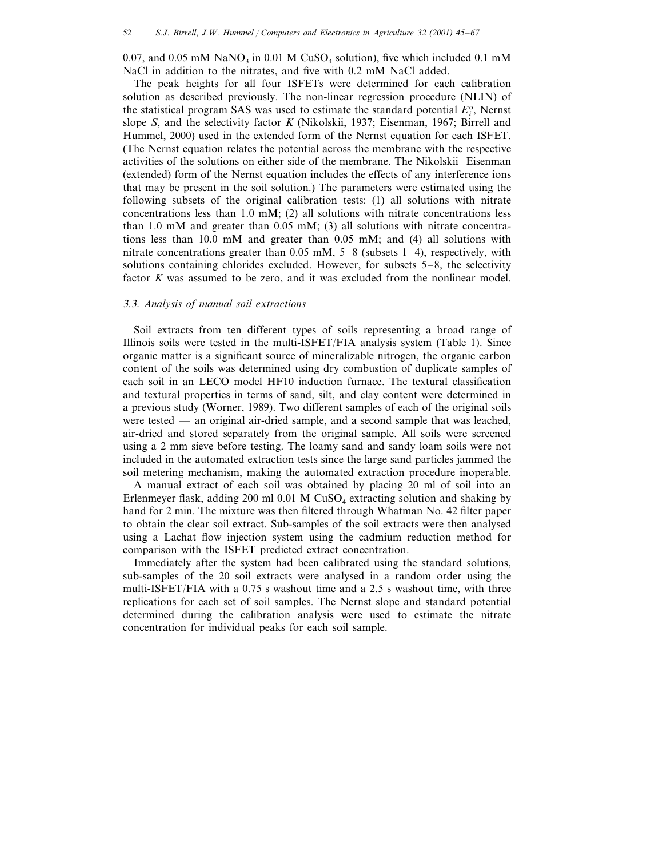0.07, and 0.05 mM NaNO<sub>3</sub> in 0.01 M CuSO<sub>4</sub> solution), five which included 0.1 mM NaCl in addition to the nitrates, and five with 0.2 mM NaCl added.

The peak heights for all four ISFETs were determined for each calibration solution as described previously. The non-linear regression procedure (NLIN) of the statistical program SAS was used to estimate the standard potential  $E_i^{\circ}$ , Nernst slope *S*, and the selectivity factor *K* (Nikolskii, 1937; Eisenman, 1967; Birrell and Hummel, 2000) used in the extended form of the Nernst equation for each ISFET. (The Nernst equation relates the potential across the membrane with the respective activities of the solutions on either side of the membrane. The Nikolskii–Eisenman (extended) form of the Nernst equation includes the effects of any interference ions that may be present in the soil solution.) The parameters were estimated using the following subsets of the original calibration tests: (1) all solutions with nitrate concentrations less than 1.0 mM; (2) all solutions with nitrate concentrations less than 1.0 mM and greater than 0.05 mM; (3) all solutions with nitrate concentrations less than 10.0 mM and greater than 0.05 mM; and (4) all solutions with nitrate concentrations greater than  $0.05$  mM,  $5-8$  (subsets  $1-4$ ), respectively, with solutions containing chlorides excluded. However, for subsets 5–8, the selectivity factor *K* was assumed to be zero, and it was excluded from the nonlinear model.

#### 3.3. *Analysis of manual soil extractions*

Soil extracts from ten different types of soils representing a broad range of Illinois soils were tested in the multi-ISFET/FIA analysis system (Table 1). Since organic matter is a significant source of mineralizable nitrogen, the organic carbon content of the soils was determined using dry combustion of duplicate samples of each soil in an LECO model HF10 induction furnace. The textural classification and textural properties in terms of sand, silt, and clay content were determined in a previous study (Worner, 1989). Two different samples of each of the original soils were tested — an original air-dried sample, and a second sample that was leached, air-dried and stored separately from the original sample. All soils were screened using a 2 mm sieve before testing. The loamy sand and sandy loam soils were not included in the automated extraction tests since the large sand particles jammed the soil metering mechanism, making the automated extraction procedure inoperable.

A manual extract of each soil was obtained by placing 20 ml of soil into an Erlenmeyer flask, adding 200 ml 0.01 M  $CuSO<sub>4</sub>$  extracting solution and shaking by hand for 2 min. The mixture was then filtered through Whatman No. 42 filter paper to obtain the clear soil extract. Sub-samples of the soil extracts were then analysed using a Lachat flow injection system using the cadmium reduction method for comparison with the ISFET predicted extract concentration.

Immediately after the system had been calibrated using the standard solutions, sub-samples of the 20 soil extracts were analysed in a random order using the multi-ISFET/FIA with a 0.75 s washout time and a 2.5 s washout time, with three replications for each set of soil samples. The Nernst slope and standard potential determined during the calibration analysis were used to estimate the nitrate concentration for individual peaks for each soil sample.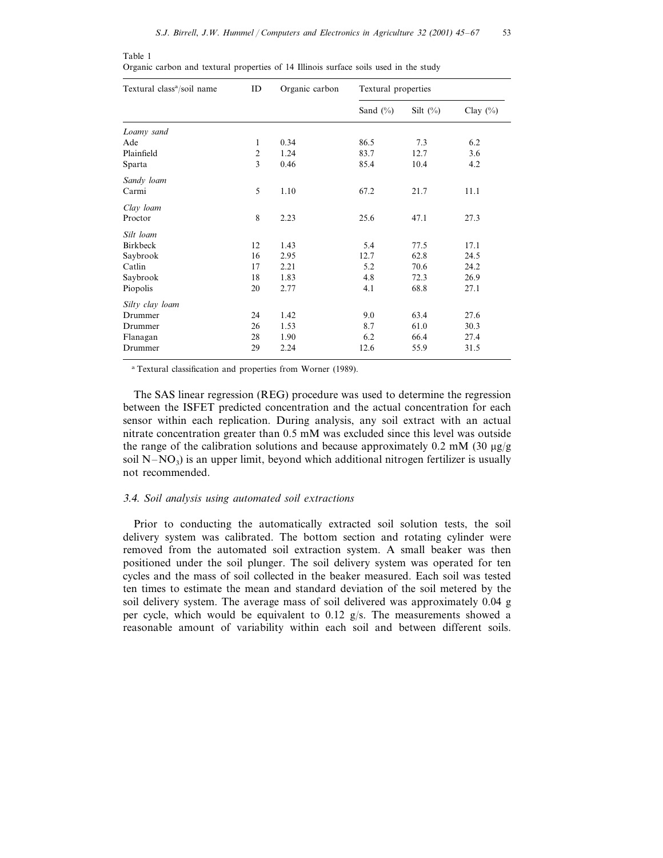| Textural class <sup>a</sup> /soil name | ID             | Organic carbon | Textural properties |             |             |  |  |
|----------------------------------------|----------------|----------------|---------------------|-------------|-------------|--|--|
|                                        |                |                | Sand $(\%)$         | Silt $(\%)$ | Clay $(\%)$ |  |  |
| Loamy sand                             |                |                |                     |             |             |  |  |
| Ade                                    | 1              | 0.34           | 86.5                | 7.3         | 6.2         |  |  |
| Plainfield                             | $\overline{c}$ | 1.24           | 83.7                | 12.7        | 3.6         |  |  |
| Sparta                                 | 3              | 0.46           | 85.4                | 10.4        | 4.2         |  |  |
| Sandy loam                             |                |                |                     |             |             |  |  |
| Carmi                                  | 5              | 1.10           | 67.2                | 21.7        | 11.1        |  |  |
| Clay loam                              |                |                |                     |             |             |  |  |
| Proctor                                | 8              | 2.23           | 25.6                | 47.1        | 27.3        |  |  |
| Silt loam                              |                |                |                     |             |             |  |  |
| Birkbeck                               | 12             | 1.43           | 5.4                 | 77.5        | 17.1        |  |  |
| Saybrook                               | 16             | 2.95           | 12.7                | 62.8        | 24.5        |  |  |
| Catlin                                 | 17             | 2.21           | 5.2                 | 70.6        | 24.2        |  |  |
| Saybrook                               | 18             | 1.83           | 4.8                 | 72.3        | 26.9        |  |  |
| Piopolis                               | 20             | 2.77           | 4.1                 | 68.8        | 27.1        |  |  |
| Silty clay loam                        |                |                |                     |             |             |  |  |
| Drummer                                | 24             | 1.42           | 9.0                 | 63.4        | 27.6        |  |  |
| Drummer                                | 26             | 1.53           | 8.7                 | 61.0        | 30.3        |  |  |
| Flanagan                               | 28             | 1.90           | 6.2                 | 66.4        | 27.4        |  |  |
| Drummer                                | 29             | 2.24           | 12.6                | 55.9        | 31.5        |  |  |

| Table 1                                                                               |  |  |  |  |  |  |
|---------------------------------------------------------------------------------------|--|--|--|--|--|--|
| Organic carbon and textural properties of 14 Illinois surface soils used in the study |  |  |  |  |  |  |

<sup>a</sup> Textural classification and properties from Worner (1989).

The SAS linear regression (REG) procedure was used to determine the regression between the ISFET predicted concentration and the actual concentration for each sensor within each replication. During analysis, any soil extract with an actual nitrate concentration greater than 0.5 mM was excluded since this level was outside the range of the calibration solutions and because approximately 0.2 mM (30  $\mu$ g/g) soil  $N-NO<sub>3</sub>$ ) is an upper limit, beyond which additional nitrogen fertilizer is usually not recommended.

## 3.4. *Soil analysis using automated soil extractions*

Prior to conducting the automatically extracted soil solution tests, the soil delivery system was calibrated. The bottom section and rotating cylinder were removed from the automated soil extraction system. A small beaker was then positioned under the soil plunger. The soil delivery system was operated for ten cycles and the mass of soil collected in the beaker measured. Each soil was tested ten times to estimate the mean and standard deviation of the soil metered by the soil delivery system. The average mass of soil delivered was approximately 0.04 g per cycle, which would be equivalent to  $0.12$  g/s. The measurements showed a reasonable amount of variability within each soil and between different soils.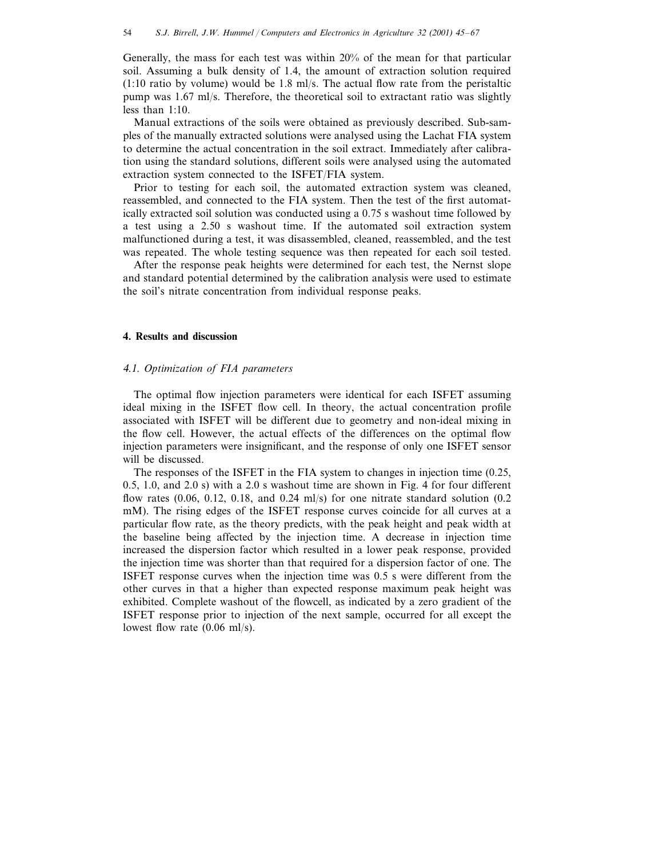Generally, the mass for each test was within 20% of the mean for that particular soil. Assuming a bulk density of 1.4, the amount of extraction solution required  $(1:10$  ratio by volume) would be 1.8 ml/s. The actual flow rate from the peristaltic pump was 1.67 ml/s. Therefore, the theoretical soil to extractant ratio was slightly less than 1:10.

Manual extractions of the soils were obtained as previously described. Sub-samples of the manually extracted solutions were analysed using the Lachat FIA system to determine the actual concentration in the soil extract. Immediately after calibration using the standard solutions, different soils were analysed using the automated extraction system connected to the ISFET/FIA system.

Prior to testing for each soil, the automated extraction system was cleaned, reassembled, and connected to the FIA system. Then the test of the first automatically extracted soil solution was conducted using a 0.75 s washout time followed by a test using a 2.50 s washout time. If the automated soil extraction system malfunctioned during a test, it was disassembled, cleaned, reassembled, and the test was repeated. The whole testing sequence was then repeated for each soil tested.

After the response peak heights were determined for each test, the Nernst slope and standard potential determined by the calibration analysis were used to estimate the soil's nitrate concentration from individual response peaks.

## **4. Results and discussion**

#### <sup>4</sup>.1. *Optimization of FIA parameters*

The optimal flow injection parameters were identical for each ISFET assuming ideal mixing in the ISFET flow cell. In theory, the actual concentration profile associated with ISFET will be different due to geometry and non-ideal mixing in the flow cell. However, the actual effects of the differences on the optimal flow injection parameters were insignificant, and the response of only one ISFET sensor will be discussed.

The responses of the ISFET in the FIA system to changes in injection time (0.25, 0.5, 1.0, and 2.0 s) with a 2.0 s washout time are shown in Fig. 4 for four different flow rates  $(0.06, 0.12, 0.18,$  and  $(0.24 \text{ ml/s})$  for one nitrate standard solution  $(0.2$ mM). The rising edges of the ISFET response curves coincide for all curves at a particular flow rate, as the theory predicts, with the peak height and peak width at the baseline being affected by the injection time. A decrease in injection time increased the dispersion factor which resulted in a lower peak response, provided the injection time was shorter than that required for a dispersion factor of one. The ISFET response curves when the injection time was 0.5 s were different from the other curves in that a higher than expected response maximum peak height was exhibited. Complete washout of the flowcell, as indicated by a zero gradient of the ISFET response prior to injection of the next sample, occurred for all except the lowest flow rate (0.06 ml/s).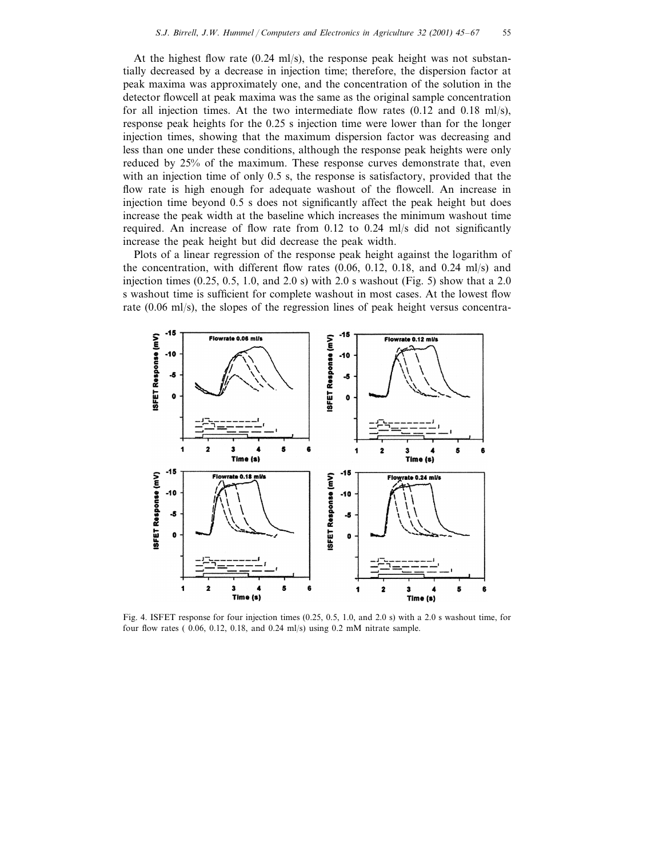At the highest flow rate  $(0.24 \text{ ml/s})$ , the response peak height was not substantially decreased by a decrease in injection time; therefore, the dispersion factor at peak maxima was approximately one, and the concentration of the solution in the detector flowcell at peak maxima was the same as the original sample concentration for all injection times. At the two intermediate flow rates  $(0.12 \text{ and } 0.18 \text{ ml/s})$ , response peak heights for the 0.25 s injection time were lower than for the longer injection times, showing that the maximum dispersion factor was decreasing and less than one under these conditions, although the response peak heights were only reduced by 25% of the maximum. These response curves demonstrate that, even with an injection time of only 0.5 s, the response is satisfactory, provided that the flow rate is high enough for adequate washout of the flowcell. An increase in injection time beyond 0.5 s does not significantly affect the peak height but does increase the peak width at the baseline which increases the minimum washout time required. An increase of flow rate from 0.12 to 0.24 ml/s did not significantly increase the peak height but did decrease the peak width.

Plots of a linear regression of the response peak height against the logarithm of the concentration, with different flow rates  $(0.06, 0.12, 0.18, \text{ and } 0.24 \text{ ml/s})$  and injection times  $(0.25, 0.5, 1.0, \text{ and } 2.0 \text{ s})$  with 2.0 s washout (Fig. 5) show that a 2.0 s washout time is sufficient for complete washout in most cases. At the lowest flow rate (0.06 ml/s), the slopes of the regression lines of peak height versus concentra-



Fig. 4. ISFET response for four injection times (0.25, 0.5, 1.0, and 2.0 s) with a 2.0 s washout time, for four flow rates  $(0.06, 0.12, 0.18, \text{ and } 0.24 \text{ ml/s})$  using 0.2 mM nitrate sample.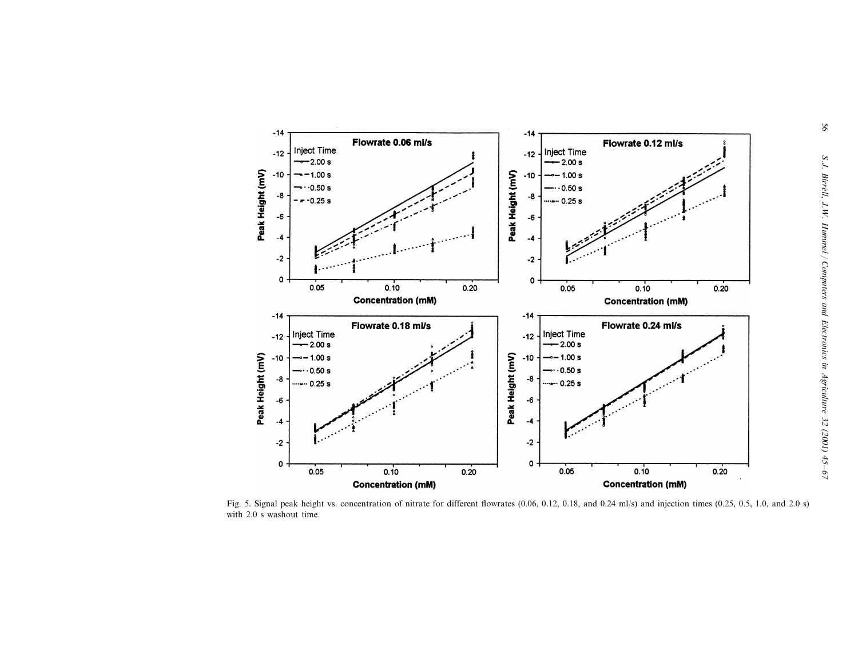

Fig. 5. Signal peak height vs. concentration of nitrate for different flowrates (0.06, 0.12, 0.18, and 0.24 ml/s) and injection times (0.25, 0.5, 1.0, and 2.0 s) with 2.0 <sup>s</sup> washout time.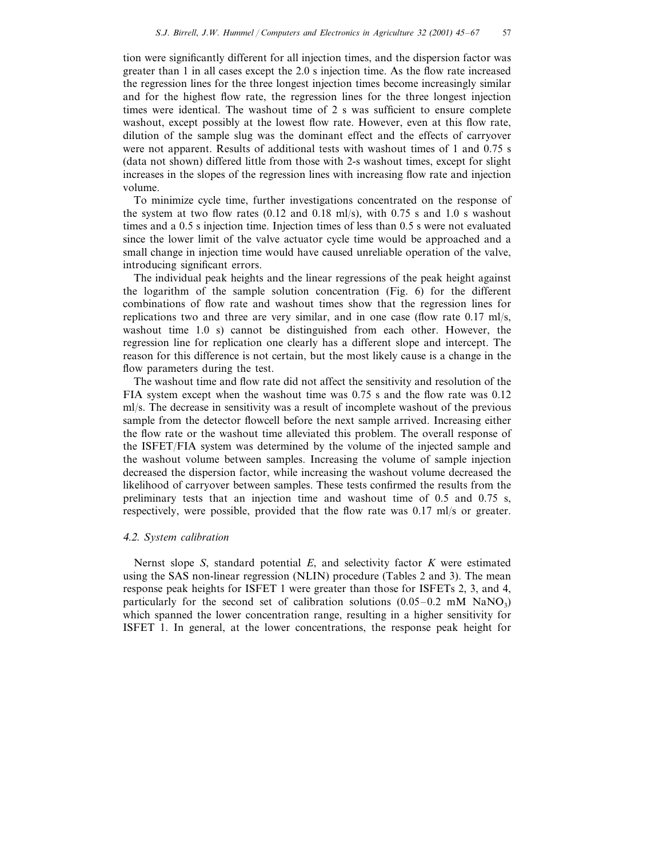tion were significantly different for all injection times, and the dispersion factor was greater than 1 in all cases except the 2.0 s injection time. As the flow rate increased the regression lines for the three longest injection times become increasingly similar and for the highest flow rate, the regression lines for the three longest injection times were identical. The washout time of 2 s was sufficient to ensure complete washout, except possibly at the lowest flow rate. However, even at this flow rate, dilution of the sample slug was the dominant effect and the effects of carryover were not apparent. Results of additional tests with washout times of 1 and 0.75 s (data not shown) differed little from those with 2-s washout times, except for slight increases in the slopes of the regression lines with increasing flow rate and injection volume.

To minimize cycle time, further investigations concentrated on the response of the system at two flow rates  $(0.12 \text{ and } 0.18 \text{ m/s})$ , with 0.75 s and 1.0 s washout times and a 0.5 s injection time. Injection times of less than 0.5 s were not evaluated since the lower limit of the valve actuator cycle time would be approached and a small change in injection time would have caused unreliable operation of the valve, introducing significant errors.

The individual peak heights and the linear regressions of the peak height against the logarithm of the sample solution concentration (Fig. 6) for the different combinations of flow rate and washout times show that the regression lines for replications two and three are very similar, and in one case (flow rate 0.17 ml/s, washout time 1.0 s) cannot be distinguished from each other. However, the regression line for replication one clearly has a different slope and intercept. The reason for this difference is not certain, but the most likely cause is a change in the flow parameters during the test.

The washout time and flow rate did not affect the sensitivity and resolution of the FIA system except when the washout time was 0.75 s and the flow rate was 0.12 ml/s. The decrease in sensitivity was a result of incomplete washout of the previous sample from the detector flowcell before the next sample arrived. Increasing either the flow rate or the washout time alleviated this problem. The overall response of the ISFET/FIA system was determined by the volume of the injected sample and the washout volume between samples. Increasing the volume of sample injection decreased the dispersion factor, while increasing the washout volume decreased the likelihood of carryover between samples. These tests confirmed the results from the preliminary tests that an injection time and washout time of 0.5 and 0.75 s, respectively, were possible, provided that the flow rate was 0.17 ml/s or greater.

## <sup>4</sup>.2. *System calibration*

Nernst slope *S*, standard potential *E*, and selectivity factor *K* were estimated using the SAS non-linear regression (NLIN) procedure (Tables 2 and 3). The mean response peak heights for ISFET 1 were greater than those for ISFETs 2, 3, and 4, particularly for the second set of calibration solutions  $(0.05-0.2 \text{ mM } \text{Na} \text{NQ}_3)$ which spanned the lower concentration range, resulting in a higher sensitivity for ISFET 1. In general, at the lower concentrations, the response peak height for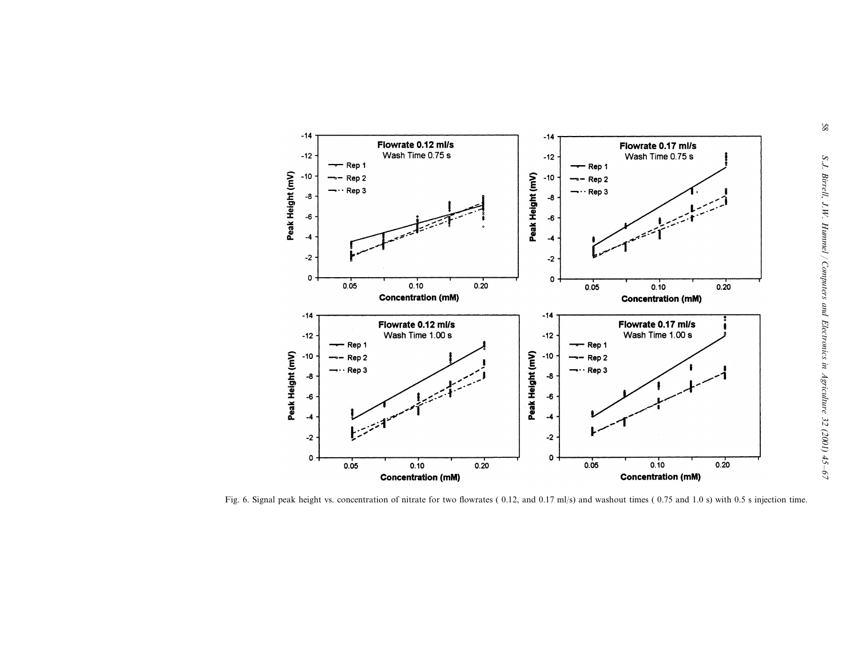

Fig. 6. Signal peak height vs. concentration of nitrate for two flowrates ( 0.12, and 0.17 ml/s) and washout times ( 0.75 and 1.0 s) with 0.5 <sup>s</sup> injection time.

 $\sqrt{8}$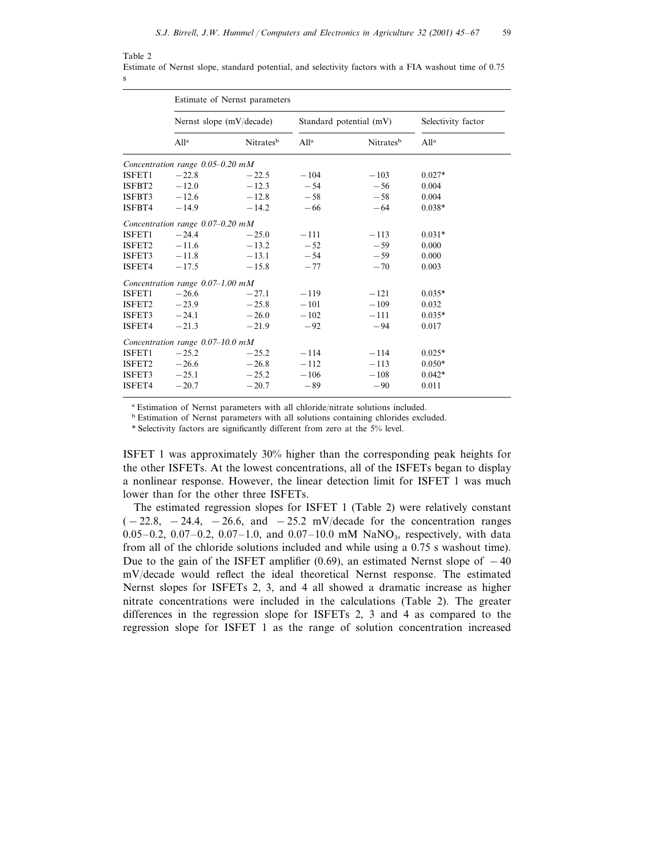Table 2

| Estimate of Nernst slope, standard potential, and selectivity factors with a FIA washout time of 0.75 |  |  |  |  |  |  |  |
|-------------------------------------------------------------------------------------------------------|--|--|--|--|--|--|--|
|                                                                                                       |  |  |  |  |  |  |  |

|               | Estimate of Nernst parameters      |                          |                  |                         |                    |  |  |  |
|---------------|------------------------------------|--------------------------|------------------|-------------------------|--------------------|--|--|--|
|               |                                    | Nernst slope (mV/decade) |                  | Standard potential (mV) | Selectivity factor |  |  |  |
|               | All <sup>a</sup>                   | Nitrates <sup>b</sup>    | All <sup>a</sup> | Nitrates <sup>b</sup>   | All <sup>a</sup>   |  |  |  |
|               | Concentration range $0.05-0.20$ mM |                          |                  |                         |                    |  |  |  |
| <b>ISFET1</b> | $-22.8$                            | $-22.5$                  | $-104$           | $-103$                  | $0.027*$           |  |  |  |
| ISFBT2        | $-12.0$                            | $-12.3$                  | $-54$            | $-56$                   | 0.004              |  |  |  |
| ISFBT3        | $-12.6$                            | $-12.8$                  | $-58$            | $-58$                   | 0.004              |  |  |  |
| ISFBT4        | $-14.9$                            | $-14.2$                  | $-66$            | $-64$                   | $0.038*$           |  |  |  |
|               | Concentration range $0.07-0.20$ mM |                          |                  |                         |                    |  |  |  |
| <b>ISFET1</b> | $-24.4$                            | $-25.0$                  | $-111$           | $-113$                  | $0.031*$           |  |  |  |
| ISFET2        | $-11.6$                            | $-13.2$                  | $-52$            | $-59$                   | 0.000              |  |  |  |
| ISFET3        | $-11.8$                            | $-13.1$                  | $-54$            | $-59$                   | 0.000              |  |  |  |
| ISFET4        | $-17.5$                            | $-15.8$                  | $-77$            | $-70$                   | 0.003              |  |  |  |
|               | Concentration range $0.07-1.00$ mM |                          |                  |                         |                    |  |  |  |
| <b>ISFET1</b> | $-26.6$                            | $-27.1$                  | $-119$           | $-121$                  | $0.035*$           |  |  |  |
| ISFET2        | $-23.9$                            | $-25.8$                  | $-101$           | $-109$                  | 0.032              |  |  |  |
| ISFET3        | $-24.1$                            | $-26.0$                  | $-102$           | $-111$                  | $0.035*$           |  |  |  |
| ISFET4        | $-21.3$                            | $-21.9$                  | $-92$            | $-94$                   | 0.017              |  |  |  |
|               | Concentration range $0.07-10.0$ mM |                          |                  |                         |                    |  |  |  |
| <b>ISFET1</b> | $-25.2$                            | $-25.2$                  | $-114$           | $-114$                  | $0.025*$           |  |  |  |
| ISFET2        | $-26.6$                            | $-26.8$                  | $-112$           | $-113$                  | $0.050*$           |  |  |  |
| ISFET3        | $-25.1$                            | $-25.2$                  | $-106$           | $-108$                  | $0.042*$           |  |  |  |
| ISFET4        | $-20.7$                            | $-20.7$                  | $-89$            | $-90$                   | 0.011              |  |  |  |

<sup>a</sup> Estimation of Nernst parameters with all chloride/nitrate solutions included.

<sup>b</sup> Estimation of Nernst parameters with all solutions containing chlorides excluded.

\* Selectivity factors are significantly different from zero at the 5% level.

ISFET 1 was approximately 30% higher than the corresponding peak heights for the other ISFETs. At the lowest concentrations, all of the ISFETs began to display a nonlinear response. However, the linear detection limit for ISFET 1 was much lower than for the other three ISFETs.

The estimated regression slopes for ISFET 1 (Table 2) were relatively constant  $(-22.8, -24.4, -26.6,$  and  $-25.2$  mV/decade for the concentration ranges 0.05–0.2, 0.07–0.2, 0.07–1.0, and 0.07–10.0 mM NaNO<sub>3</sub>, respectively, with data from all of the chloride solutions included and while using a 0.75 s washout time). Due to the gain of the ISFET amplifier (0.69), an estimated Nernst slope of  $-40$ mV/decade would reflect the ideal theoretical Nernst response. The estimated Nernst slopes for ISFETs 2, 3, and 4 all showed a dramatic increase as higher nitrate concentrations were included in the calculations (Table 2). The greater differences in the regression slope for ISFETs 2, 3 and 4 as compared to the regression slope for ISFET 1 as the range of solution concentration increased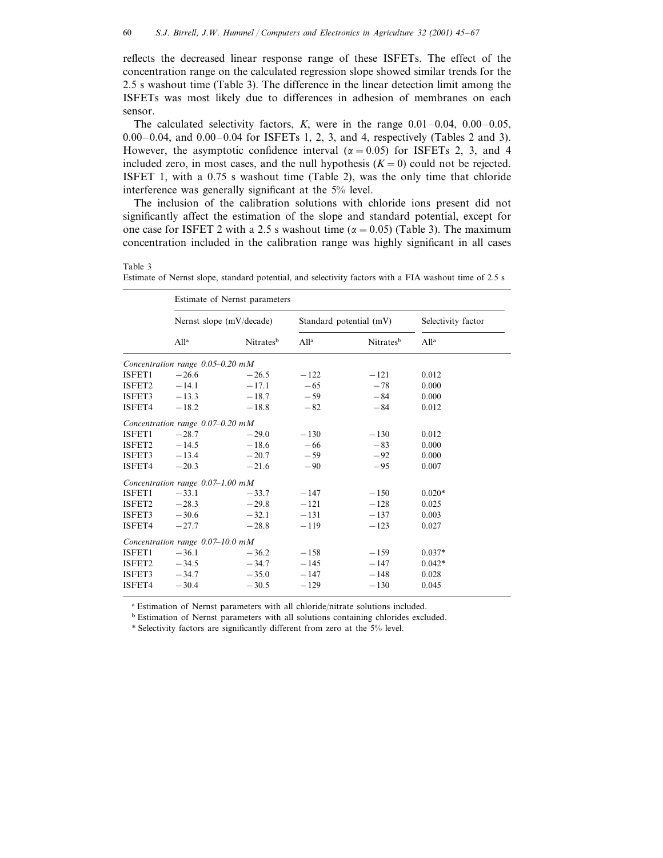reflects the decreased linear response range of these ISFETs. The effect of the concentration range on the calculated regression slope showed similar trends for the 2.5 s washout time (Table 3). The difference in the linear detection limit among the ISFETs was most likely due to differences in adhesion of membranes on each sensor.

The calculated selectivity factors, *K*, were in the range 0.01–0.04, 0.00–0.05,  $0.00-0.04$ , and  $0.00-0.04$  for ISFETs 1, 2, 3, and 4, respectively (Tables 2 and 3). However, the asymptotic confidence interval ( $\alpha = 0.05$ ) for ISFETs 2, 3, and 4 included zero, in most cases, and the null hypothesis  $(K=0)$  could not be rejected. ISFET 1, with a 0.75 s washout time (Table 2), was the only time that chloride interference was generally significant at the 5% level.

The inclusion of the calibration solutions with chloride ions present did not significantly affect the estimation of the slope and standard potential, except for one case for ISFET 2 with a 2.5 s washout time ( $\alpha = 0.05$ ) (Table 3). The maximum concentration included in the calibration range was highly significant in all cases

| DК |
|----|
|----|

Estimate of Nernst slope, standard potential, and selectivity factors with a FIA washout time of 2.5 s

|                                           | Estimate of Nernst parameters      |                  |                       |                         |                    |  |  |  |  |
|-------------------------------------------|------------------------------------|------------------|-----------------------|-------------------------|--------------------|--|--|--|--|
|                                           | Nernst slope $(mV/decade)$         |                  |                       | Standard potential (mV) | Selectivity factor |  |  |  |  |
| Nitrates <sup>b</sup><br>All <sup>a</sup> |                                    | All <sup>a</sup> | Nitrates <sup>b</sup> | All <sup>a</sup>        |                    |  |  |  |  |
|                                           | Concentration range 0.05-0.20 mM   |                  |                       |                         |                    |  |  |  |  |
| ISFET1                                    | $-26.6$                            | $-26.5$          | $-122$                | $-121$                  | 0.012              |  |  |  |  |
| ISFET2                                    | $-14.1$                            | $-17.1$          | $-65$                 | $-78$                   | 0.000              |  |  |  |  |
| ISFET3                                    | $-13.3$                            | $-18.7$          | $-59$                 | $-84$                   | 0.000              |  |  |  |  |
| ISFET4                                    | $-18.2$                            | $-18.8$          | $-82$                 | $-84$                   | 0.012              |  |  |  |  |
|                                           | Concentration range $0.07-0.20$ mM |                  |                       |                         |                    |  |  |  |  |
| ISFET1                                    | $-28.7$                            | $-29.0$          | $-130$                | $-130$                  | 0.012              |  |  |  |  |
| ISFET2                                    | $-14.5$                            | $-18.6$          | $-66$                 | $-83$                   | 0.000              |  |  |  |  |
| ISFET3                                    | $-13.4$                            | $-20.7$          | $-59$                 | $-92$                   | 0.000              |  |  |  |  |
| ISFET4                                    | $-20.3$                            | $-21.6$          | $-90$                 | $-95$                   | 0.007              |  |  |  |  |
|                                           | Concentration range $0.07-1.00$ mM |                  |                       |                         |                    |  |  |  |  |
| ISFET1                                    | $-33.1$                            | $-33.7$          | $-147$                | $-150$                  | $0.020*$           |  |  |  |  |
| ISFET2                                    | $-28.3$                            | $-29.8$          | $-121$                | $-128$                  | 0.025              |  |  |  |  |
| ISFET3                                    | $-30.6$                            | $-32.1$          | $-131$                | $-137$                  | 0.003              |  |  |  |  |
| <b>ISFET4</b>                             | $-27.7$                            | $-28.8$          | $-119$                | $-123$                  | 0.027              |  |  |  |  |
|                                           | Concentration range 0.07-10.0 mM   |                  |                       |                         |                    |  |  |  |  |
| ISFET1                                    | $-36.1$                            | $-36.2$          | $-158$                | $-159$                  | $0.037*$           |  |  |  |  |
| ISFET2                                    | $-34.5$                            | $-34.7$          | $-145$                | $-147$                  | $0.042*$           |  |  |  |  |
| ISFET3                                    | $-34.7$                            | $-35.0$          | $-147$                | $-148$                  | 0.028              |  |  |  |  |
| ISFET4                                    | $-30.4$                            | $-30.5$          | $-129$                | $-130$                  | 0.045              |  |  |  |  |

<sup>a</sup> Estimation of Nernst parameters with all chloride/nitrate solutions included.

<sup>b</sup> Estimation of Nernst parameters with all solutions containing chlorides excluded.

\* Selectivity factors are significantly different from zero at the 5% level.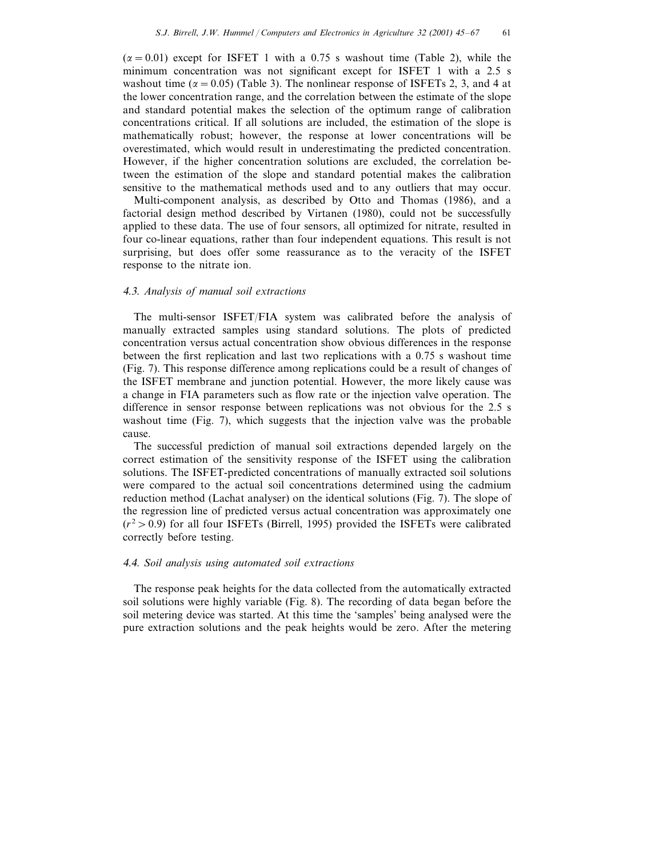$(\alpha=0.01)$  except for ISFET 1 with a 0.75 s washout time (Table 2), while the minimum concentration was not significant except for ISFET 1 with a 2.5 s washout time ( $\alpha$  = 0.05) (Table 3). The nonlinear response of ISFETs 2, 3, and 4 at the lower concentration range, and the correlation between the estimate of the slope and standard potential makes the selection of the optimum range of calibration concentrations critical. If all solutions are included, the estimation of the slope is mathematically robust; however, the response at lower concentrations will be overestimated, which would result in underestimating the predicted concentration. However, if the higher concentration solutions are excluded, the correlation between the estimation of the slope and standard potential makes the calibration sensitive to the mathematical methods used and to any outliers that may occur.

Multi-component analysis, as described by Otto and Thomas (1986), and a factorial design method described by Virtanen (1980), could not be successfully applied to these data. The use of four sensors, all optimized for nitrate, resulted in four co-linear equations, rather than four independent equations. This result is not surprising, but does offer some reassurance as to the veracity of the ISFET response to the nitrate ion.

## <sup>4</sup>.3. *Analysis of manual soil extractions*

The multi-sensor ISFET/FIA system was calibrated before the analysis of manually extracted samples using standard solutions. The plots of predicted concentration versus actual concentration show obvious differences in the response between the first replication and last two replications with a 0.75 s washout time (Fig. 7). This response difference among replications could be a result of changes of the ISFET membrane and junction potential. However, the more likely cause was a change in FIA parameters such as flow rate or the injection valve operation. The difference in sensor response between replications was not obvious for the 2.5 s washout time (Fig. 7), which suggests that the injection valve was the probable cause.

The successful prediction of manual soil extractions depended largely on the correct estimation of the sensitivity response of the ISFET using the calibration solutions. The ISFET-predicted concentrations of manually extracted soil solutions were compared to the actual soil concentrations determined using the cadmium reduction method (Lachat analyser) on the identical solutions (Fig. 7). The slope of the regression line of predicted versus actual concentration was approximately one  $(r^2 > 0.9)$  for all four ISFETs (Birrell, 1995) provided the ISFETs were calibrated correctly before testing.

# <sup>4</sup>.4. *Soil analysis using automated soil extractions*

The response peak heights for the data collected from the automatically extracted soil solutions were highly variable (Fig. 8). The recording of data began before the soil metering device was started. At this time the 'samples' being analysed were the pure extraction solutions and the peak heights would be zero. After the metering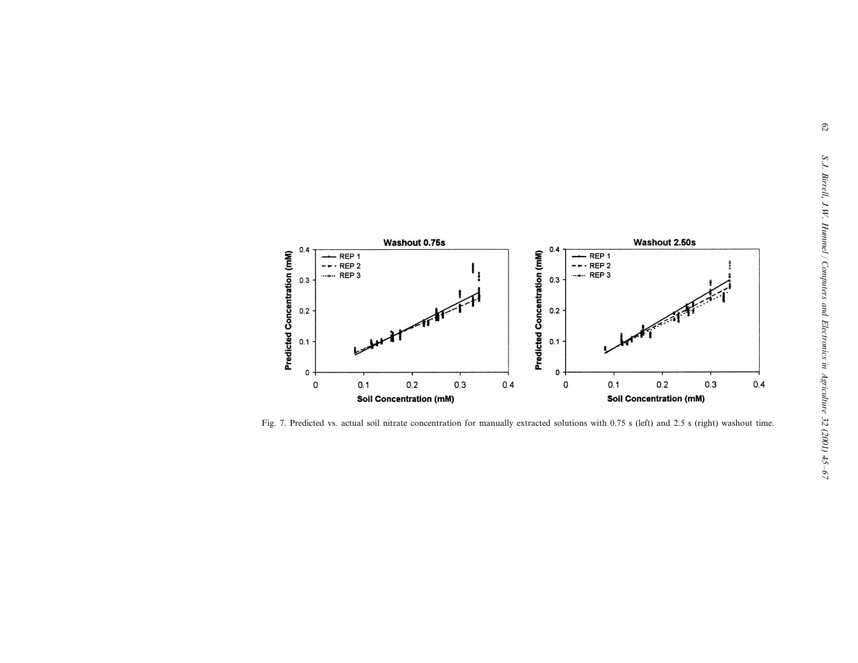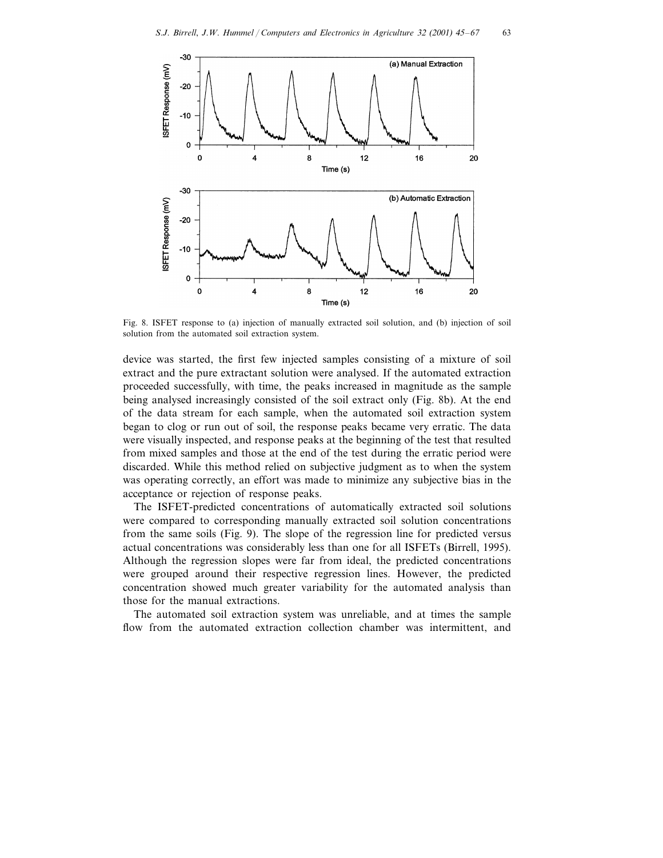

Fig. 8. ISFET response to (a) injection of manually extracted soil solution, and (b) injection of soil solution from the automated soil extraction system.

device was started, the first few injected samples consisting of a mixture of soil extract and the pure extractant solution were analysed. If the automated extraction proceeded successfully, with time, the peaks increased in magnitude as the sample being analysed increasingly consisted of the soil extract only (Fig. 8b). At the end of the data stream for each sample, when the automated soil extraction system began to clog or run out of soil, the response peaks became very erratic. The data were visually inspected, and response peaks at the beginning of the test that resulted from mixed samples and those at the end of the test during the erratic period were discarded. While this method relied on subjective judgment as to when the system was operating correctly, an effort was made to minimize any subjective bias in the acceptance or rejection of response peaks.

The ISFET-predicted concentrations of automatically extracted soil solutions were compared to corresponding manually extracted soil solution concentrations from the same soils (Fig. 9). The slope of the regression line for predicted versus actual concentrations was considerably less than one for all ISFETs (Birrell, 1995). Although the regression slopes were far from ideal, the predicted concentrations were grouped around their respective regression lines. However, the predicted concentration showed much greater variability for the automated analysis than those for the manual extractions.

The automated soil extraction system was unreliable, and at times the sample flow from the automated extraction collection chamber was intermittent, and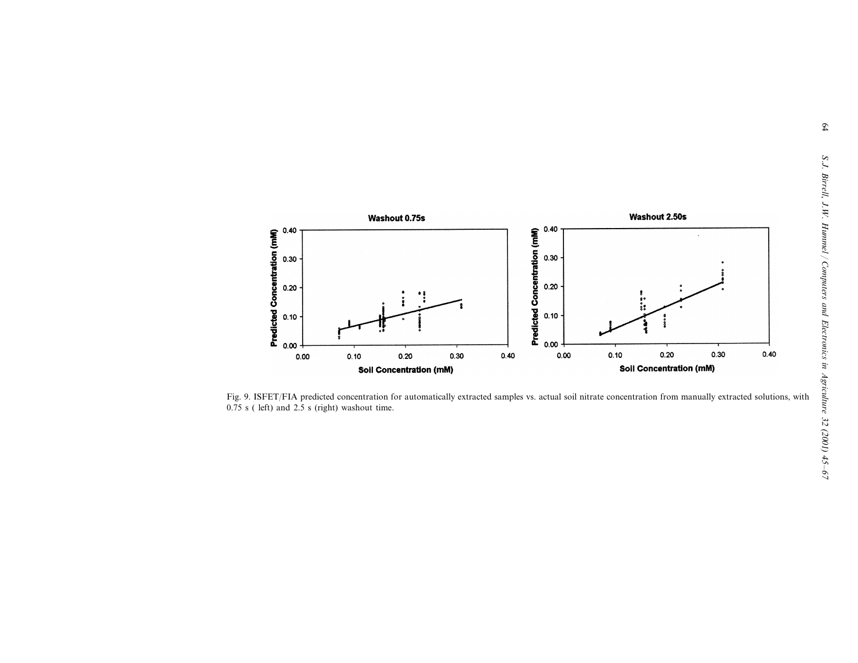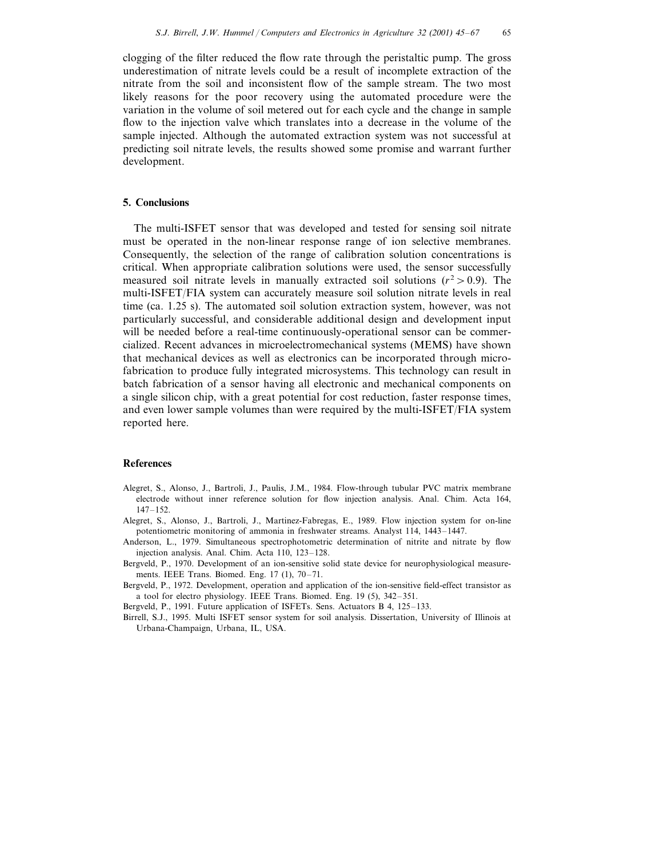clogging of the filter reduced the flow rate through the peristaltic pump. The gross underestimation of nitrate levels could be a result of incomplete extraction of the nitrate from the soil and inconsistent flow of the sample stream. The two most likely reasons for the poor recovery using the automated procedure were the variation in the volume of soil metered out for each cycle and the change in sample flow to the injection valve which translates into a decrease in the volume of the sample injected. Although the automated extraction system was not successful at predicting soil nitrate levels, the results showed some promise and warrant further development.

## **5. Conclusions**

The multi-ISFET sensor that was developed and tested for sensing soil nitrate must be operated in the non-linear response range of ion selective membranes. Consequently, the selection of the range of calibration solution concentrations is critical. When appropriate calibration solutions were used, the sensor successfully measured soil nitrate levels in manually extracted soil solutions  $(r^2 > 0.9)$ . The multi-ISFET/FIA system can accurately measure soil solution nitrate levels in real time (ca. 1.25 s). The automated soil solution extraction system, however, was not particularly successful, and considerable additional design and development input will be needed before a real-time continuously-operational sensor can be commercialized. Recent advances in microelectromechanical systems (MEMS) have shown that mechanical devices as well as electronics can be incorporated through microfabrication to produce fully integrated microsystems. This technology can result in batch fabrication of a sensor having all electronic and mechanical components on a single silicon chip, with a great potential for cost reduction, faster response times, and even lower sample volumes than were required by the multi-ISFET/FIA system reported here.

## **References**

- Alegret, S., Alonso, J., Bartroli, J., Paulis, J.M., 1984. Flow-through tubular PVC matrix membrane electrode without inner reference solution for flow injection analysis. Anal. Chim. Acta 164, 147–152.
- Alegret, S., Alonso, J., Bartroli, J., Martinez-Fabregas, E., 1989. Flow injection system for on-line potentiometric monitoring of ammonia in freshwater streams. Analyst 114, 1443–1447.
- Anderson, L., 1979. Simultaneous spectrophotometric determination of nitrite and nitrate by flow injection analysis. Anal. Chim. Acta 110, 123–128.
- Bergveld, P., 1970. Development of an ion-sensitive solid state device for neurophysiological measurements. IEEE Trans. Biomed. Eng. 17 (1), 70–71.
- Bergveld, P., 1972. Development, operation and application of the ion-sensitive field-effect transistor as a tool for electro physiology. IEEE Trans. Biomed. Eng. 19 (5), 342–351.
- Bergveld, P., 1991. Future application of ISFETs. Sens. Actuators B 4, 125–133.
- Birrell, S.J., 1995. Multi ISFET sensor system for soil analysis. Dissertation, University of Illinois at Urbana-Champaign, Urbana, IL, USA.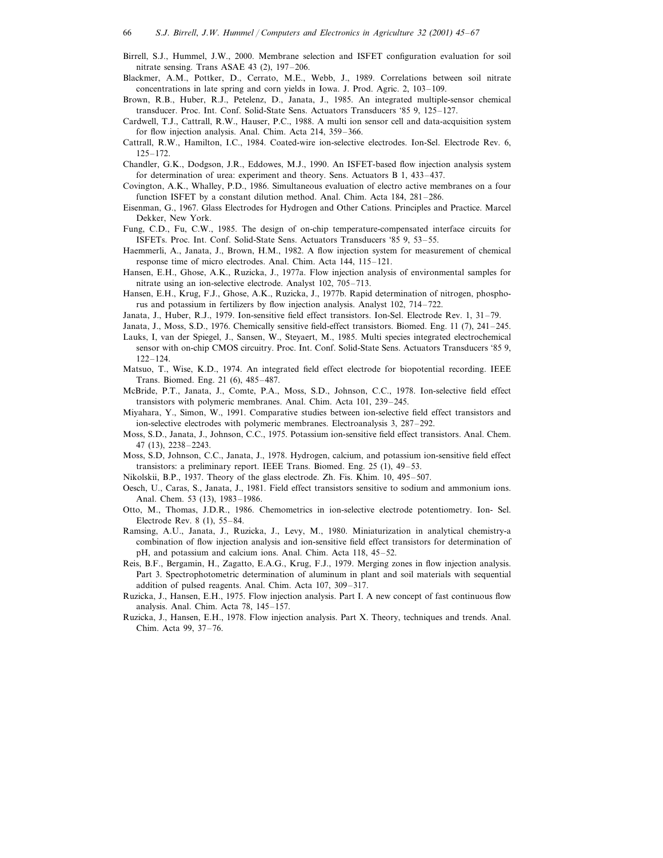- Birrell, S.J., Hummel, J.W., 2000. Membrane selection and ISFET configuration evaluation for soil nitrate sensing. Trans ASAE 43 (2), 197–206.
- Blackmer, A.M., Pottker, D., Cerrato, M.E., Webb, J., 1989. Correlations between soil nitrate concentrations in late spring and corn yields in Iowa. J. Prod. Agric. 2, 103–109.
- Brown, R.B., Huber, R.J., Petelenz, D., Janata, J., 1985. An integrated multiple-sensor chemical transducer. Proc. Int. Conf. Solid-State Sens. Actuators Transducers '85 9, 125–127.
- Cardwell, T.J., Cattrall, R.W., Hauser, P.C., 1988. A multi ion sensor cell and data-acquisition system for flow injection analysis. Anal. Chim. Acta 214, 359–366.
- Cattrall, R.W., Hamilton, I.C., 1984. Coated-wire ion-selective electrodes. Ion-Sel. Electrode Rev. 6, 125–172.
- Chandler, G.K., Dodgson, J.R., Eddowes, M.J., 1990. An ISFET-based flow injection analysis system for determination of urea: experiment and theory. Sens. Actuators B 1, 433–437.
- Covington, A.K., Whalley, P.D., 1986. Simultaneous evaluation of electro active membranes on a four function ISFET by a constant dilution method. Anal. Chim. Acta 184, 281–286.
- Eisenman, G., 1967. Glass Electrodes for Hydrogen and Other Cations. Principles and Practice. Marcel Dekker, New York.
- Fung, C.D., Fu, C.W., 1985. The design of on-chip temperature-compensated interface circuits for ISFETs. Proc. Int. Conf. Solid-State Sens. Actuators Transducers '85 9, 53–55.
- Haemmerli, A., Janata, J., Brown, H.M., 1982. A flow injection system for measurement of chemical response time of micro electrodes. Anal. Chim. Acta 144, 115–121.
- Hansen, E.H., Ghose, A.K., Ruzicka, J., 1977a. Flow injection analysis of environmental samples for nitrate using an ion-selective electrode. Analyst 102, 705–713.
- Hansen, E.H., Krug, F.J., Ghose, A.K., Ruzicka, J., 1977b. Rapid determination of nitrogen, phosphorus and potassium in fertilizers by flow injection analysis. Analyst 102, 714–722.
- Janata, J., Huber, R.J., 1979. Ion-sensitive field effect transistors. Ion-Sel. Electrode Rev. 1, 31–79.
- Janata, J., Moss, S.D., 1976. Chemically sensitive field-effect transistors. Biomed. Eng. 11 (7), 241–245.
- Lauks, I, van der Spiegel, J., Sansen, W., Steyaert, M., 1985. Multi species integrated electrochemical sensor with on-chip CMOS circuitry. Proc. Int. Conf. Solid-State Sens. Actuators Transducers '85 9, 122–124.
- Matsuo, T., Wise, K.D., 1974. An integrated field effect electrode for biopotential recording. IEEE Trans. Biomed. Eng. 21 (6), 485–487.
- McBride, P.T., Janata, J., Comte, P.A., Moss, S.D., Johnson, C.C., 1978. Ion-selective field effect transistors with polymeric membranes. Anal. Chim. Acta 101, 239–245.
- Miyahara, Y., Simon, W., 1991. Comparative studies between ion-selective field effect transistors and ion-selective electrodes with polymeric membranes. Electroanalysis 3, 287–292.
- Moss, S.D., Janata, J., Johnson, C.C., 1975. Potassium ion-sensitive field effect transistors. Anal. Chem. 47 (13), 2238–2243.
- Moss, S.D, Johnson, C.C., Janata, J., 1978. Hydrogen, calcium, and potassium ion-sensitive field effect transistors: a preliminary report. IEEE Trans. Biomed. Eng. 25 (1), 49–53.
- Nikolskii, B.P., 1937. Theory of the glass electrode. Zh. Fis. Khim. 10, 495–507.
- Oesch, U., Caras, S., Janata, J., 1981. Field effect transistors sensitive to sodium and ammonium ions. Anal. Chem. 53 (13), 1983–1986.
- Otto, M., Thomas, J.D.R., 1986. Chemometrics in ion-selective electrode potentiometry. Ion- Sel. Electrode Rev. 8 (1), 55–84.
- Ramsing, A.U., Janata, J., Ruzicka, J., Levy, M., 1980. Miniaturization in analytical chemistry-a combination of flow injection analysis and ion-sensitive field effect transistors for determination of pH, and potassium and calcium ions. Anal. Chim. Acta 118, 45–52.
- Reis, B.F., Bergamin, H., Zagatto, E.A.G., Krug, F.J., 1979. Merging zones in flow injection analysis. Part 3. Spectrophotometric determination of aluminum in plant and soil materials with sequential addition of pulsed reagents. Anal. Chim. Acta 107, 309–317.
- Ruzicka, J., Hansen, E.H., 1975. Flow injection analysis. Part I. A new concept of fast continuous flow analysis. Anal. Chim. Acta 78, 145–157.
- Ruzicka, J., Hansen, E.H., 1978. Flow injection analysis. Part X. Theory, techniques and trends. Anal. Chim. Acta 99, 37–76.